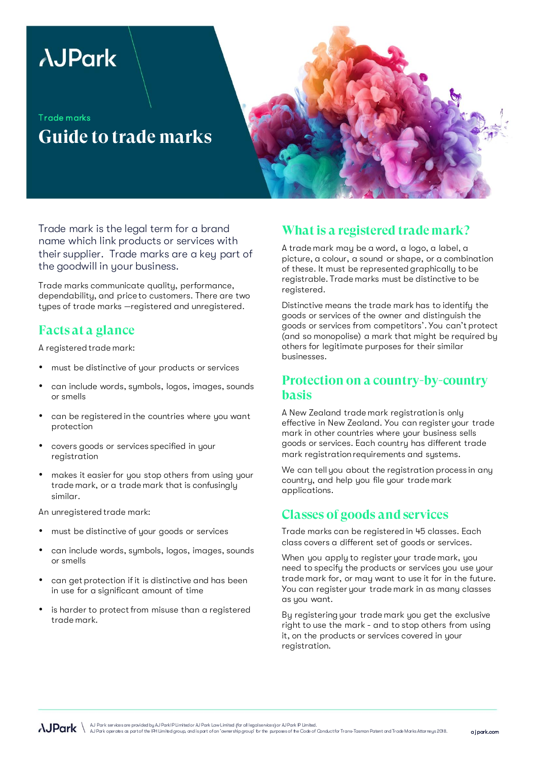# **AJPark**

Trade marks **Guide to trade marks** 



Trade mark is the legal term for a brand name which link products or services with their supplier. Trade marks are a key part of the goodwill in your business.

Trade marks communicate quality, performance, dependability, and price to customers. There are two types of trade marks —registered and unregistered.

### **Facts at a glance**

A registered trade mark:

- must be distinctive of your products or services
- can include words, symbols, logos, images, sounds or smells
- can be registered in the countries where you want protection
- covers goods or services specified in your registration
- makes it easier for you stop others from using your trade mark, or a trade mark that is confusingly similar.

An unregistered trade mark:

- must be distinctive of your goods or services
- can include words, symbols, logos, images, sounds or smells
- can get protection if it is distinctive and has been in use for a significant amount of time
- is harder to protect from misuse than a registered trade mark.

## **What is a registered trade mark?**

A trade mark may be a word, a logo, a label, a picture, a colour, a sound or shape, or a combination of these. It must be represented graphically to be registrable. Trade marks must be distinctive to be registered.

Distinctive means the trade mark has to identify the goods or services of the owner and distinguish the goods or services from competitors'. You can't protect (and so monopolise) a mark that might be required by others for legitimate purposes for their similar businesses.

#### **Protection on a country-by-country basis**

A New Zealand trade mark registration is only effective in New Zealand. You can register your trade mark in other countries where your business sells goods or services. Each country has different trade mark registration requirements and systems.

We can tell you about the registration process in any country, and help you file your trade mark applications.

## **Classes of goods and services**

Trade marks can be registered in 45 classes. Each class covers a different set of goods or services.

When you apply to register your trade mark, you need to specify the products or services you use your trade mark for, or may want to use it for in the future. You can register your trade mark in as many classes as you want.

By registering your trade mark you get the exclusive right to use the mark - and to stop others from using it, on the products or services covered in your registration.